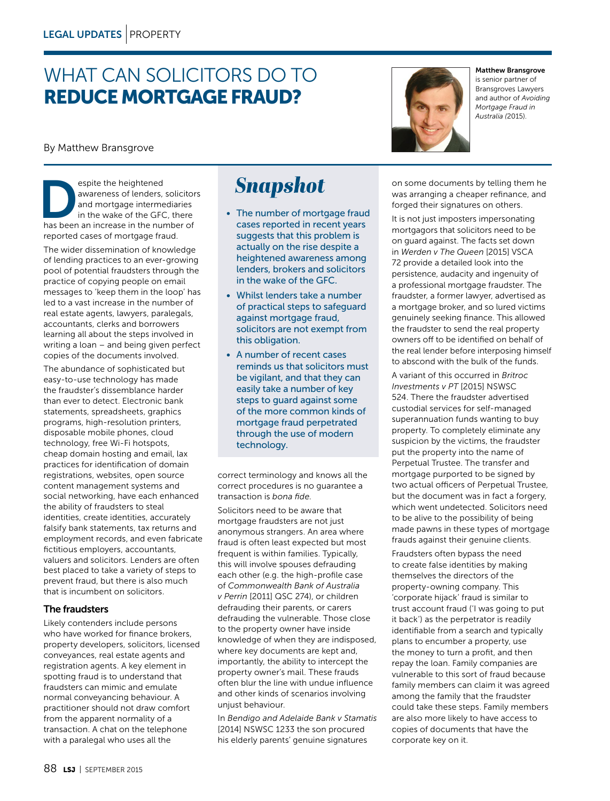# WHAT CAN SOLICITORS DO TO REDUCE MORTGAGE FRAUD?

# By Matthew Bransgrove

espite the heightened<br>
awareness of lenders, solicitor<br>
and mortgage intermediaries<br>
in the wake of the GFC, there<br>
has been an increase in the number of awareness of lenders, solicitors and mortgage intermediaries in the wake of the GFC, there reported cases of mortgage fraud. The wider dissemination of knowledge of lending practices to an ever-growing pool of potential fraudsters through the practice of copying people on email messages to 'keep them in the loop' has led to a vast increase in the number of real estate agents, lawyers, paralegals, accountants, clerks and borrowers learning all about the steps involved in writing a loan – and being given perfect copies of the documents involved.

The abundance of sophisticated but easy-to-use technology has made the fraudster's dissemblance harder than ever to detect. Electronic bank statements, spreadsheets, graphics programs, high-resolution printers, disposable mobile phones, cloud technology, free Wi-Fi hotspots, cheap domain hosting and email, lax practices for identification of domain registrations, websites, open source content management systems and social networking, have each enhanced the ability of fraudsters to steal identities, create identities, accurately falsify bank statements, tax returns and employment records, and even fabricate fictitious employers, accountants, valuers and solicitors. Lenders are often best placed to take a variety of steps to prevent fraud, but there is also much that is incumbent on solicitors.

# The fraudsters

Likely contenders include persons who have worked for finance brokers, property developers, solicitors, licensed conveyances, real estate agents and registration agents. A key element in spotting fraud is to understand that fraudsters can mimic and emulate normal conveyancing behaviour. A practitioner should not draw comfort from the apparent normality of a transaction. A chat on the telephone with a paralegal who uses all the

# **Snapshot**

- The number of mortgage fraud cases reported in recent years suggests that this problem is actually on the rise despite a heightened awareness among lenders, brokers and solicitors in the wake of the GFC.
- Whilst lenders take a number of practical steps to safeguard against mortgage fraud, solicitors are not exempt from this obligation.
- A number of recent cases reminds us that solicitors must be vigilant, and that they can easily take a number of key steps to guard against some of the more common kinds of mortgage fraud perpetrated through the use of modern technology.

correct terminology and knows all the correct procedures is no guarantee a transaction is *bona fide*.

Solicitors need to be aware that mortgage fraudsters are not just anonymous strangers. An area where fraud is often least expected but most frequent is within families. Typically, this will involve spouses defrauding each other (e.g. the high-profile case of *Commonwealth Bank of Australia v Perrin* [2011] QSC 274), or children defrauding their parents, or carers defrauding the vulnerable. Those close to the property owner have inside knowledge of when they are indisposed, where key documents are kept and, importantly, the ability to intercept the property owner's mail. These frauds often blur the line with undue influence and other kinds of scenarios involving unjust behaviour.

In *Bendigo and Adelaide Bank v Stamatis* [2014] NSWSC 1233 the son procured his elderly parents' genuine signatures



#### Matthew Bransgrove

is senior partner of Bransgroves Lawyers and author of *Avoiding Mortgage Fraud in Australia (*2015).

on some documents by telling them he was arranging a cheaper refinance, and forged their signatures on others.

It is not just imposters impersonating mortgagors that solicitors need to be on guard against. The facts set down in *Werden v The Queen* [2015] VSCA 72 provide a detailed look into the persistence, audacity and ingenuity of a professional mortgage fraudster. The fraudster, a former lawyer, advertised as a mortgage broker, and so lured victims genuinely seeking finance. This allowed the fraudster to send the real property owners off to be identified on behalf of the real lender before interposing himself to abscond with the bulk of the funds.

A variant of this occurred in *Britroc Investments v PT* [2015] NSWSC 524. There the fraudster advertised custodial services for self-managed superannuation funds wanting to buy property. To completely eliminate any suspicion by the victims, the fraudster put the property into the name of Perpetual Trustee. The transfer and mortgage purported to be signed by two actual officers of Perpetual Trustee, but the document was in fact a forgery, which went undetected. Solicitors need to be alive to the possibility of being made pawns in these types of mortgage frauds against their genuine clients.

Fraudsters often bypass the need to create false identities by making themselves the directors of the property-owning company. This 'corporate hijack' fraud is similar to trust account fraud ('I was going to put it back') as the perpetrator is readily identifiable from a search and typically plans to encumber a property, use the money to turn a profit, and then repay the loan. Family companies are vulnerable to this sort of fraud because family members can claim it was agreed among the family that the fraudster could take these steps. Family members are also more likely to have access to copies of documents that have the corporate key on it.